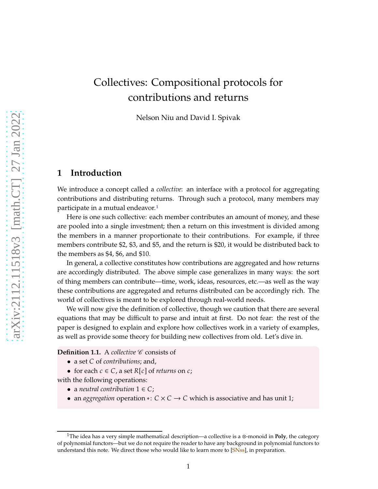# <span id="page-0-2"></span>Collectives: Compositional protocols for contributions and returns

Nelson Niu and David I. Spivak

## **1 Introduction**

We introduce a concept called a *collective*: an interface with a protocol for aggregating contributions and distributing returns. Through such a protocol, many members may participate in a mutual endeavor.[1](#page-0-0)

Here is one such collective: each member contributes an amount of money, and these are pooled into a single investment; then a return on this investment is divided among the members in a manner proportionate to their contributions. For example, if three members contribute \$2, \$3, and \$5, and the return is \$20, it would be distributed back to the members as \$4, \$6, and \$10.

In general, a collective constitutes how contributions are aggregated and how returns are accordingly distributed. The above simple case generalizes in many ways: the sort of thing members can contribute—time, work, ideas, resources, etc.—as well as the way these contributions are aggregated and returns distributed can be accordingly rich. The world of collectives is meant to be explored through real-world needs.

We will now give the definition of collective, though we caution that there are several equations that may be difficult to parse and intuit at first. Do not fear: the rest of the paper is designed to explain and explore how collectives work in a variety of examples, as well as provide some theory for building new collectives from old. Let's dive in.

<span id="page-0-1"></span>**Definition 1.1.** A *collective*  $\mathscr C$  consists of

- a set *C* of *contributions*; and,
- for each  $c \in C$ , a set  $R[c]$  of *returns* on  $c$ ;

with the following operations:

- a *neutral contribution*  $1 \in C$ ;
- an *aggregation* operation ∗:  $C \times C \rightarrow C$  which is associative and has unit 1;

<span id="page-0-0"></span><sup>1</sup>The idea has a very simple mathematical description—a collective is a ⊗-monoid in **Poly**, the category of polynomial functors—but we do not require the reader to have any background in polynomial functors to understand this note. We direct those who would like to learn more to [\[SNss](#page-19-0)], in preparation.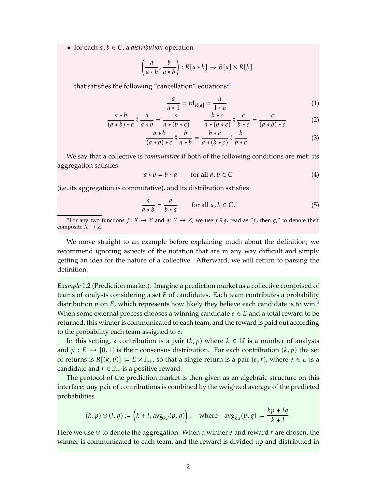• for each  $a, b \in C$ , a *distribution* operation

$$
\left(\frac{a}{a*b'}, \frac{b}{a*b}\right) : R[a*b] \to R[a] \times R[b]
$$

that satisfies the following "cancellation" equations:*[a](#page-1-0)*

<span id="page-1-6"></span><span id="page-1-5"></span><span id="page-1-4"></span>
$$
\frac{a}{a \cdot 1} = \mathrm{id}_{R[a]} = \frac{a}{1 \cdot a} \tag{1}
$$

$$
\frac{a*b}{(a*b)*c} \, \mathring{\circ} \, \frac{a}{a*b} = \frac{a}{a*(b*c)} \qquad \frac{b*c}{a*(b*c)} \, \mathring{\circ} \, \frac{c}{b*c} = \frac{c}{(a*b)*c} \tag{2}
$$

$$
\frac{a*b}{(a*b)*c} \, \stackrel{\circ}{\circ} \, \frac{b}{a*b} = \frac{b*c}{a*(b*c)} \, \stackrel{\circ}{\circ} \, \frac{b}{b*c} \tag{3}
$$

We say that a collective is *commutative* if both of the following conditions are met: its aggregation satisfies

<span id="page-1-1"></span>
$$
a * b = b * a \qquad \text{for all } a, b \in C \tag{4}
$$

(i.e. its aggregation is commutative), and its distribution satisfies

<span id="page-1-2"></span>
$$
\frac{a}{a * b} = \frac{a}{b * a} \qquad \text{for all } a, b \in C.
$$
 (5)

*a*For any two functions  $f: X \to Y$  and  $g: Y \to Z$ , we use  $f \circ g$ , read as " $f$ , then  $g$ ," to denote their composite  $X \rightarrow Z$ .

<span id="page-1-0"></span>We move straight to an example before explaining much about the definition; we recommend ignoring aspects of the notation that are in any way difficult and simply getting an idea for the nature of a collective. Afterward, we will return to parsing the definition.

<span id="page-1-3"></span>*Example* 1.2 (Prediction market)*.* Imagine a prediction market as a collective comprised of teams of analysts considering a set  $E$  of candidates. Each team contributes a probability distribution  $p$  on  $E$ , which represents how likely they believe e[a](#page-2-0)ch candidate is to win.<sup>*a*</sup> When some external process chooses a winning candidate  $e \in E$  and a total reward to be returned, this winner is communicated to each team, and the reward is paid out according to the probability each team assigned to  $e$ .

In this setting, a contribution is a pair  $(k, p)$  where  $k \in \mathbb{N}$  is a number of analysts and  $p : E \to [0, 1]$  is their consensus distribution. For each contribution  $(k, p)$  the set of returns is  $R[(k, p)] := E \times \mathbb{R}_+$ , so that a single return is a pair  $(e, r)$ , where  $e \in E$  is a candidate and  $r \in \mathbb{R}_+$  is a positive reward.

The protocol of the prediction market is then given as an algebraic structure on this interface: any pair of contributions is combined by the weighted average of the predicted probabilities

$$
(k, p) \oplus (l, q) := \left(k + l, \text{avg}_{k,l}(p, q)\right), \quad \text{where} \quad \text{avg}_{k,l}(p, q) := \frac{kp + lq}{k + l}.
$$

Here we use  $\oplus$  to denote the aggregation. When a winner e and reward r are chosen, the winner is communicated to each team, and the reward is divided up and distributed in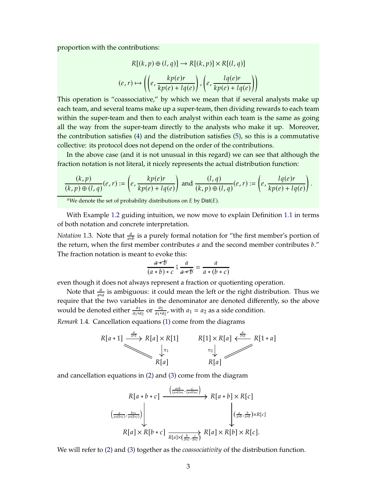proportion with the contributions:

$$
R[(k, p) \oplus (l, q)] \rightarrow R[(k, p)] \times R[(l, q)]
$$

$$
(e, r) \mapsto \left( \left( e, \frac{kp(e)r}{kp(e) + lq(e)} \right), \left( e, \frac{lq(e)r}{kp(e) + lq(e)} \right) \right)
$$

This operation is "coassociative," by which we mean that if several analysts make up each team, and several teams make up a super-team, then dividing rewards to each team within the super-team and then to each analyst within each team is the same as going all the way from the super-team directly to the analysts who make it up. Moreover, the contribution satisfies [\(4\)](#page-1-1) and the distribution satisfies [\(5\)](#page-1-2), so this is a commutative collective: its protocol does not depend on the order of the contributions.

In the above case (and it is not unusual in this regard) we can see that although the fraction notation is not literal, it nicely represents the actual distribution function:

$$
\frac{(k,p)}{(k,p)\oplus (l,q)}(e,r):=\left(e,\frac{kp(e)r}{kp(e)+lq(e)}\right) \text{ and } \frac{(l,q)}{(k,p)\oplus (l,q)}(e,r):=\left(e,\frac{lq(e)r}{kp(e)+lq(e)}\right).
$$

<span id="page-2-0"></span><sup>*a*</sup>We denote the set of probability distributions on  $E$  by Dist $(E)$ .

With Example [1.2](#page-1-3) guiding intuition, we now move to explain Definition [1.1](#page-0-1) in terms of both notation and concrete interpretation.

*Notation* 1.3. Note that  $\frac{a}{a*b}$  is a purely formal notation for "the first member's portion of the return, when the first member contributes  $a$  and the second member contributes  $b$ ." The fraction notation is meant to evoke this:

$$
\frac{a \cdot b}{(a \cdot b) \cdot c} \stackrel{\circ}{\circ} \frac{a}{a \cdot b} = \frac{a}{a \cdot (b \cdot c)}
$$

even though it does not always represent a fraction or quotienting operation.

Note that  $\frac{a}{a*a}$  is ambiguous: it could mean the left or the right distribution. Thus we require that the two variables in the denominator are denoted differently, so the above would be denoted either  $\frac{a_1}{a_1 a_2}$  or  $\frac{a_2}{a_1 a_1 a_2}$  $\frac{a_2}{a_1*a_2}$ , with  $a_1 = a_2$  as a side condition.

*Remark* 1.4*.* Cancellation equations [\(1\)](#page-1-4) come from the diagrams



and cancellation equations in [\(2\)](#page-1-5) and [\(3\)](#page-1-6) come from the diagram

$$
R[a * b * c] \xrightarrow{\left(\frac{a * b}{(a * b) * c}, \frac{c}{(a * b) * c}\right)} R[a * b] \times R[c]
$$

$$
\xrightarrow{\left(\frac{a}{a * (b * c)}, \frac{b * c}{a * (b * c)}\right)} \times R[a * c] \xrightarrow{R[a] \times \frac{b}{B[a] \times (\frac{b}{b * c}, \frac{c}{b * c})} R[a] \times R[b] \times R[c].
$$

We will refer to [\(2\)](#page-1-5) and [\(3\)](#page-1-6) together as the *coassociativity* of the distribution function.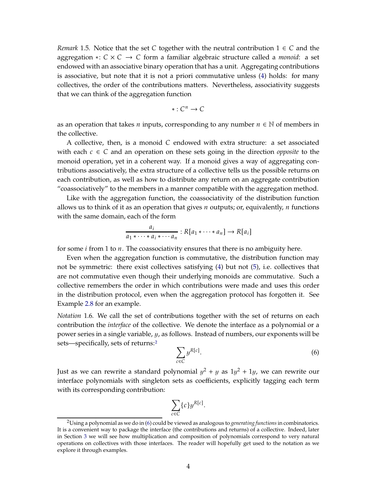*Remark* 1.5. Notice that the set C together with the neutral contribution  $1 \in C$  and the aggregation ∗: 𝐶 × 𝐶 → 𝐶 form a familiar algebraic structure called a *monoid*: a set endowed with an associative binary operation that has a unit. Aggregating contributions is associative, but note that it is not a priori commutative unless [\(4\)](#page-1-1) holds: for many collectives, the order of the contributions matters. Nevertheless, associativity suggests that we can think of the aggregation function

$$
*:\mathcal{C}^n\to\mathcal{C}
$$

as an operation that takes *n* inputs, corresponding to any number  $n \in \mathbb{N}$  of members in the collective.

A collective, then, is a monoid  $C$  endowed with extra structure: a set associated with each  $c \in C$  and an operation on these sets going in the direction *opposite* to the monoid operation, yet in a coherent way. If a monoid gives a way of aggregating contributions associatively, the extra structure of a collective tells us the possible returns on each contribution, as well as how to distribute any return on an aggregate contribution "coassociatively" to the members in a manner compatible with the aggregation method.

Like with the aggregation function, the coassociativity of the distribution function allows us to think of it as an operation that gives  $n$  outputs; or, equivalently,  $n$  functions with the same domain, each of the form

$$
\frac{a_i}{a_1 * \cdots * a_i * \cdots a_n} : R[a_1 * \cdots * a_n] \to R[a_i]
$$

for some  $i$  from 1 to  $n$ . The coassociativity ensures that there is no ambiguity here.

Even when the aggregation function is commutative, the distribution function may not be symmetric: there exist collectives satisfying [\(4\)](#page-1-1) but not [\(5\)](#page-1-2), i.e. collectives that are not commutative even though their underlying monoids are commutative. Such a collective remembers the order in which contributions were made and uses this order in the distribution protocol, even when the aggregation protocol has forgotten it. See Example [2.8](#page-9-0) for an example.

*Notation* 1.6*.* We call the set of contributions together with the set of returns on each contribution the *interface* of the collective. We denote the interface as a polynomial or a power series in a single variable, y, as follows. Instead of numbers, our exponents will be sets—specifically, sets of returns:[2](#page-3-0)

<span id="page-3-1"></span>
$$
\sum_{c \in C} y^{R[c]}.
$$
 (6)

Just as we can rewrite a standard polynomial  $y^2 + y$  as  $1y^2 + 1y$ , we can rewrite our interface polynomials with singleton sets as coefficients, explicitly tagging each term with its corresponding contribution:

$$
\sum_{c \in C} \{c\} y^{R[c]}.
$$

<span id="page-3-0"></span><sup>2</sup>Using a polynomial as we do in [\(6\)](#page-3-1) could be viewed as analogous to *generating functions*in combinatorics. It is a convenient way to package the interface (the contributions and returns) of a collective. Indeed, later in Section [3](#page-14-0) we will see how multiplication and composition of polynomials correspond to very natural operations on collectives with those interfaces. The reader will hopefully get used to the notation as we explore it through examples.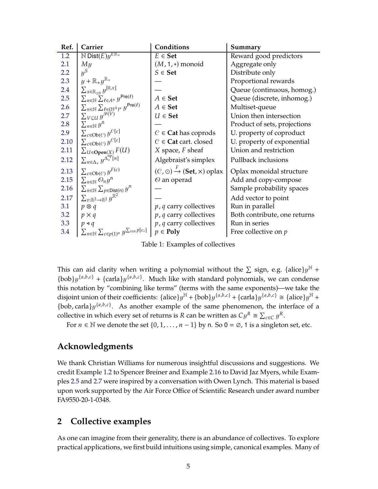| Ref. | Carrier                                                                     | Conditions                                                | Summary                      |
|------|-----------------------------------------------------------------------------|-----------------------------------------------------------|------------------------------|
| 1.2  | $\mathbb N$ Dist $(\overline{E})$ $y^{E\mathbb{R}_+}$                       | $E \in$ <b>Set</b>                                        | Reward good predictors       |
| 2.1  | My                                                                          | $(M, 1, *)$ monoid                                        | Aggregate only               |
| 2.2  | $y^S$                                                                       | $S \in$ Set                                               | Distribute only              |
| 2.3  | $y+\mathbb{R}_+y^{\mathbb{R}_+}$                                            |                                                           | Proportional rewards         |
| 2.4  | $\sum_{x\in\mathbb{R}_{\geq 0}}y^{[0,x]}$                                   |                                                           | Queue (continuous, homog.)   |
| 2.5  | $\sum_{n\in\mathbb{N}}\sum_{\ell\in A^n}y^{\mathsf{Pre}(\ell)}$             | $A \in$ <b>Set</b>                                        | Queue (discrete, inhomog.)   |
| 2.6  | $\sum_{n\in\mathbb{N}}\sum_{\ell\in(\mathbb{N}^A)^n}y^{\mathsf{Pre}(\ell)}$ | $A \in$ <b>Set</b>                                        | Multiset-queue               |
| 2.7  | $\sum_{V\subseteq U} y^{\mathcal{P}(V)}$                                    | $U \in$ Set                                               | Union then intersection      |
| 2.8  | $\sum_{n\in\mathbb{N}}y^n$                                                  |                                                           | Product of sets, projections |
| 2.9  | $\sum_{c \in Ob(C)} y^{C[c]}$                                               | $C \in$ <b>Cat</b> has coprods                            | U. property of coproduct     |
| 2.10 | $\sum_{c \in { \mathrm{Ob} }( \mathcal{C})} y^{\mathcal{C}[c]}$             | $C \in$ Cat cart. closed                                  | U. property of exponential   |
| 2.11 | $\sum_{U \in \mathbf{Open}(X)} F(U)$                                        | $X$ space, $F$ sheaf                                      | Union and restriction        |
| 2.12 | $\sum_{n \in \Delta_+} y^{\Delta_+^{\text{op}}[n]}$                         | Algebraist's simplex                                      | Pullback inclusions          |
| 2.13 | $\sum_{c \in Ob(C)} y^{F(c)}$                                               | $(C, \odot) \xrightarrow{F} (\mathbf{Set}, \times)$ oplax | Oplax monoidal structure     |
| 2.15 | $\sum_{n\in\mathbb{N}}\mathcal{O}_ny^n$                                     | $\Theta$ an operad                                        | Add and copy-compose         |
| 2.16 | $\sum_{n\in\mathbb{N}}\sum_{p\in\text{Dist}(n)}y^n$                         |                                                           | Sample probability spaces    |
| 2.17 | $\sum_{v:\mathbb{R}^2\to\mathbb{R}^2}y^{\mathbb{R}^2}$                      |                                                           | Add vector to point          |
| 3.1  | $p \otimes q$                                                               | $p$ , q carry collectives                                 | Run in parallel              |
| 3.2  | $p \times q$                                                                | $p$ , q carry collectives                                 | Both contribute, one returns |
| 3.3  | $p \triangleleft q$                                                         | $p$ , $q$ carry collectives                               | Run in series                |
| 3.4  | $\sum_{n\in\mathbb{N}}\sum_{c\in p(1)^n}y^{\sum_{i\in n}p[c_i]}$            | $p \in \text{Poly}$                                       | Free collective on $p$       |

Table 1: Examples of collectives

This can aid clarity when writing a polynomial without the  $\Sigma$  sign, e.g. {alice} $y^{\mathbb{N}}$  +  ${\text{bob}} y^{\{a,b,c\}}$  +  ${\text{carla}} y^{\{a,b,c\}}$ . Much like with standard polynomials, we can condense this notation by "combining like terms" (terms with the same exponents)—we take the disjoint union of their coefficients:  $\{\text{alice}\}\{y^{\mathbb{N}} + \{\text{bob}\}\{y^{\{a,b,c\}} + \{\text{card}\}\{y^{\{a,b,c\}}\} \cong \{\text{alice}\}\{y^{\mathbb{N}} + \{\text{color}\}\{y^{\{a,b,c\}}\}$ {bob, carla} $y^{\{a,b,c\}}$ . As another example of the same phenomenon, the interface of a collective in which every set of returns is R can be written as  $Cy^{R} \cong \sum_{c \in C} y^{R}$ .

For  $n \in \mathbb{N}$  we denote the set  $\{0, 1, \dots, n-1\}$  by n. So  $0 = \emptyset$ , 1 is a singleton set, etc.

## **Acknowledgments**

We thank Christian Williams for numerous insightful discussions and suggestions. We credit Example [1.2](#page-1-3) to Spencer Breiner and Example [2.16](#page-12-1) to David Jaz Myers, while Examples [2.5](#page-7-0) and [2.7](#page-8-0) were inspired by a conversation with Owen Lynch. This material is based upon work supported by the Air Force Office of Scientific Research under award number FA9550-20-1-0348.

# **2 Collective examples**

As one can imagine from their generality, there is an abundance of collectives. To explore practical applications, we first build intuitions using simple, canonical examples. Many of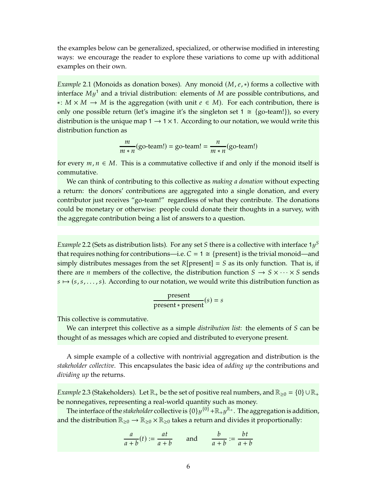the examples below can be generalized, specialized, or otherwise modified in interesting ways: we encourage the reader to explore these variations to come up with additional examples on their own.

<span id="page-5-0"></span>*Example* 2.1 (Monoids as donation boxes). Any monoid (*M*, *e*, ∗) forms a collective with interface  $My<sup>1</sup>$  and a trivial distribution: elements of  $M$  are possible contributions, and ∗:  $M \times M \rightarrow M$  is the aggregation (with unit  $e \in M$ ). For each contribution, there is only one possible return (let's imagine it's the singleton set  $1 \cong \{go\text{-team!}\}\)$ , so every distribution is the unique map  $1 \rightarrow 1 \times 1$ . According to our notation, we would write this distribution function as

$$
\frac{m}{m*n}(\text{go-team!}) = \text{go-team!} = \frac{n}{m*n}(\text{go-team!})
$$

for every  $m, n \in M$ . This is a commutative collective if and only if the monoid itself is commutative.

We can think of contributing to this collective as *making a donation* without expecting a return: the donors' contributions are aggregated into a single donation, and every contributor just receives "go-team!" regardless of what they contribute. The donations could be monetary or otherwise: people could donate their thoughts in a survey, with the aggregate contribution being a list of answers to a question.

<span id="page-5-1"></span>*Example* 2.2 (Sets as distribution lists). For any set S there is a collective with interface  $1y^S$ that requires nothing for contributions—i.e.  $C = 1 \cong$  {present} is the trivial monoid—and simply distributes messages from the set  $R[present] = S$  as its only function. That is, if there are *n* members of the collective, the distribution function  $S \rightarrow S \times \cdots \times S$  sends  $s \mapsto (s, s, \dots, s)$ . According to our notation, we would write this distribution function as

$$
present * present(s) = s
$$

This collective is commutative.

We can interpret this collective as a simple *distribution list*: the elements of S can be thought of as messages which are copied and distributed to everyone present.

A simple example of a collective with nontrivial aggregation and distribution is the *stakeholder collective*. This encapsulates the basic idea of *adding up* the contributions and *dividing up* the returns.

<span id="page-5-2"></span>*Example* 2.3 (Stakeholders). Let  $\mathbb{R}_+$  be the set of positive real numbers, and  $\mathbb{R}_{\geq 0} = \{0\} \cup \mathbb{R}_+$ be nonnegatives, representing a real-world quantity such as money.

The interface of the *stakeholder* collective is  $\{0\}y^{\{0\}} + \mathbb{R}_+y^{\mathbb{R}_+}$ . The aggregation is addition, and the distribution  $\mathbb{R}_{\geq 0} \to \mathbb{R}_{\geq 0} \times \mathbb{R}_{\geq 0}$  takes a return and divides it proportionally:

$$
\frac{a}{a+b}(t) := \frac{at}{a+b} \qquad \text{and} \qquad \frac{b}{a+b} := \frac{bt}{a+b}
$$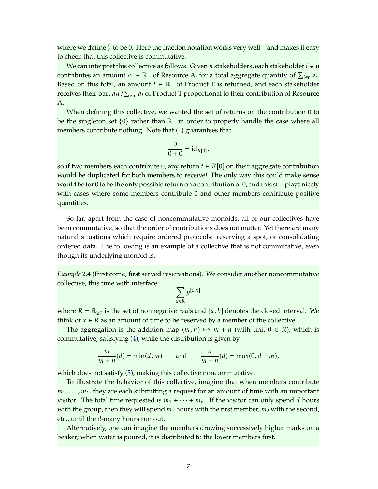where we define  $\frac{0}{0}$  to be 0. Here the fraction notation works very well—and makes it easy to check that this collective is commutative.

We can interpret this collective as follows. Given  $n$  stakeholders, each stakeholder  $i \in n$ contributes an amount  $a_i \in \mathbb{R}_+$  of Resource A, for a total aggregate quantity of  $\sum_{i \in \mathbb{N}} a_i$ . Based on this total, an amount  $t \in \mathbb{R}_+$  of Product T is returned, and each stakeholder receives their part  $a_it/\sum_{i\in{\mathsf n}}a_i$  of Product T proportional to their contribution of Resource A.

When defining this collective, we wanted the set of returns on the contribution 0 to be the singleton set  $\{0\}$  rather than  $\mathbb{R}_+$  in order to properly handle the case where all members contribute nothing. Note that [\(1\)](#page-1-4) guarantees that

$$
\frac{0}{0+0} = \mathrm{id}_{R[0]},
$$

so if two members each contribute 0, any return  $t \in R[0]$  on their aggregate contribution would be duplicated for both members to receive! The only way this could make sense would be for 0 to be the only possible return on a contribution of 0, and this still plays nicely with cases where some members contribute 0 and other members contribute positive quantities.

So far, apart from the case of noncommutative monoids, all of our collectives have been commutative, so that the order of contributions does not matter. Yet there are many natural situations which require ordered protocols: reserving a spot, or consolidating ordered data. The following is an example of a collective that is not commutative, even though its underlying monoid is.

<span id="page-6-0"></span>*Example* 2.4 (First come, first served reservations)*.* We consider another noncommutative collective, this time with interface

$$
\sum_{x \in R} y^{[0,x]}
$$

where  $R = \mathbb{R}_{\geq 0}$  is the set of nonnegative reals and [a, b] denotes the closed interval. We think of  $x \in R$  as an amount of time to be reserved by a member of the collective.

The aggregation is the addition map  $(m, n) \mapsto m + n$  (with unit  $0 \in R$ ), which is commutative, satisfying [\(4\)](#page-1-1), while the distribution is given by

$$
\frac{m}{m+n}(d) = \min(d, m) \quad \text{and} \quad \frac{n}{m+n}(d) = \max(0, d-m),
$$

which does not satisfy [\(5\)](#page-1-2), making this collective noncommutative.

To illustrate the behavior of this collective, imagine that when members contribute  $m_1, \ldots, m_k$ , they are each submitting a request for an amount of time with an important visitor. The total time requested is  $m_1 + \cdots + m_k$ . If the visitor can only spend d hours with the group, then they will spend  $m_1$  hours with the first member,  $m_2$  with the second, etc., until the *d*-many hours run out.

Alternatively, one can imagine the members drawing successively higher marks on a beaker; when water is poured, it is distributed to the lower members first.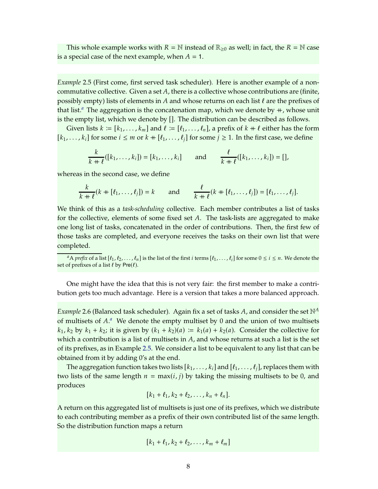This whole example works with  $R = \mathbb{N}$  instead of  $\mathbb{R}_{\geq 0}$  as well; in fact, the  $R = \mathbb{N}$  case is a special case of the next example, when  $A = 1$ .

<span id="page-7-0"></span>*Example* 2.5 (First come, first served task scheduler)*.* Here is another example of a noncommutative collective. Given a set  $A$ , there is a collective whose contributions are (finite, possibly empty) lists of elements in A and whose returns on each list  $\ell$  are the prefixes of th[a](#page-7-2)t list.<sup>*a*</sup> The aggregation is the concatenation map, which we denote by  $+$ , whose unit is the empty list, which we denote by []. The distribution can be described as follows.

Given lists  $k := [k_1, \ldots, k_m]$  and  $\ell := [\ell_1, \ldots, \ell_n]$ , a prefix of  $k + \ell$  either has the form  $[k_1, \ldots, k_i]$  for some  $i \leq m$  or  $k + [\ell_1, \ldots, \ell_i]$  for some  $j \geq 1$ . In the first case, we define

$$
\frac{k}{k+\ell}([k_1,\ldots,k_i])=[k_1,\ldots,k_i] \quad \text{and} \quad \frac{\ell}{k+\ell}([k_1,\ldots,k_i])=[],
$$

whereas in the second case, we define

$$
\frac{k}{k+\ell}(k + [\ell_1,\ldots,\ell_j]) = k \quad \text{and} \quad \frac{\ell}{k+\ell}(k + [\ell_1,\ldots,\ell_j]) = [\ell_1,\ldots,\ell_j].
$$

We think of this as a *task-scheduling* collective. Each member contributes a list of tasks for the collective, elements of some fixed set  $A$ . The task-lists are aggregated to make one long list of tasks, concatenated in the order of contributions. Then, the first few of those tasks are completed, and everyone receives the tasks on their own list that were completed.

One might have the idea that this is not very fair: the first member to make a contribution gets too much advantage. Here is a version that takes a more balanced approach.

<span id="page-7-1"></span>*Example* 2.6 (Balanced task scheduler). Again fix a set of tasks A, and consider the set  $\mathbb{N}^A$ of multisets of A.<sup>[a](#page-8-1)</sup> We denote the empty multiset by 0 and the union of two multisets  $k_1, k_2$  by  $k_1 + k_2$ ; it is given by  $(k_1 + k_2)(a) := k_1(a) + k_2(a)$ . Consider the collective for which a contribution is a list of multisets in  $A$ , and whose returns at such a list is the set of its prefixes, as in Example [2.5.](#page-7-0) We consider a list to be equivalent to any list that can be obtained from it by adding 0's at the end.

The aggregation function takes two lists  $[k_1, \ldots, k_i]$  and  $[\ell_1, \ldots, \ell_i]$ , replaces them with two lists of the same length  $n = max(i, j)$  by taking the missing multisets to be 0, and produces

$$
[k_1+\ell_1,k_2+\ell_2,\ldots,k_n+\ell_n].
$$

A return on this aggregated list of multisets is just one of its prefixes, which we distribute to each contributing member as a prefix of their own contributed list of the same length. So the distribution function maps a return

$$
[k_1+\ell_1,k_2+\ell_2,\ldots,k_m+\ell_m]
$$

<span id="page-7-2"></span><sup>&</sup>lt;sup>a</sup>A *prefix* of a list  $[\ell_1, \ell_2, \ldots, \ell_n]$  is the list of the first *i* terms  $[\ell_1, \ldots, \ell_i]$  for some  $0 \le i \le n$ . We denote the set of prefixes of a list  $\ell$  by Pre $(\ell)$ .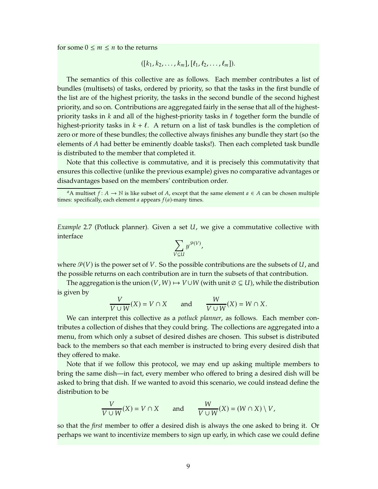for some  $0 \le m \le n$  to the returns

$$
((k_1, k_2, \ldots, k_m], [\ell_1, \ell_2, \ldots, \ell_m]).
$$

The semantics of this collective are as follows. Each member contributes a list of bundles (multisets) of tasks, ordered by priority, so that the tasks in the first bundle of the list are of the highest priority, the tasks in the second bundle of the second highest priority, and so on. Contributions are aggregated fairly in the sense that all of the highestpriority tasks in  $k$  and all of the highest-priority tasks in  $\ell$  together form the bundle of highest-priority tasks in  $k + \ell$ . A return on a list of task bundles is the completion of zero or more of these bundles; the collective always finishes any bundle they start (so the elements of A had better be eminently doable tasks!). Then each completed task bundle is distributed to the member that completed it.

Note that this collective is commutative, and it is precisely this commutativity that ensures this collective (unlike the previous example) gives no comparative advantages or disadvantages based on the members' contribution order.

<span id="page-8-0"></span>*Example* 2.7 (Potluck planner). Given a set *U*, we give a commutative collective with interface

$$
\sum_{V\subseteq U}y^{\mathcal{P}(V)},
$$

where  $\mathcal{P}(V)$  is the power set of V. So the possible contributions are the subsets of U, and the possible returns on each contribution are in turn the subsets of that contribution.

The aggregation is the union  $(V, W) \mapsto V \cup W$  (with unit  $\emptyset \subseteq U$ ), while the distribution is given by

$$
\frac{V}{V \cup W}(X) = V \cap X \quad \text{and} \quad \frac{W}{V \cup W}(X) = W \cap X.
$$

We can interpret this collective as a *potluck planner*, as follows. Each member contributes a collection of dishes that they could bring. The collections are aggregated into a menu, from which only a subset of desired dishes are chosen. This subset is distributed back to the members so that each member is instructed to bring every desired dish that they offered to make.

Note that if we follow this protocol, we may end up asking multiple members to bring the same dish—in fact, every member who offered to bring a desired dish will be asked to bring that dish. If we wanted to avoid this scenario, we could instead define the distribution to be

$$
\frac{V}{V \cup W}(X) = V \cap X \quad \text{and} \quad \frac{W}{V \cup W}(X) = (W \cap X) \setminus V,
$$

so that the *first* member to offer a desired dish is always the one asked to bring it. Or perhaps we want to incentivize members to sign up early, in which case we could define

<span id="page-8-1"></span>*a*A multiset  $f: A \to \mathbb{N}$  is like subset of A, except that the same element  $a \in A$  can be chosen multiple times: specifically, each element  $a$  appears  $f(a)$ -many times.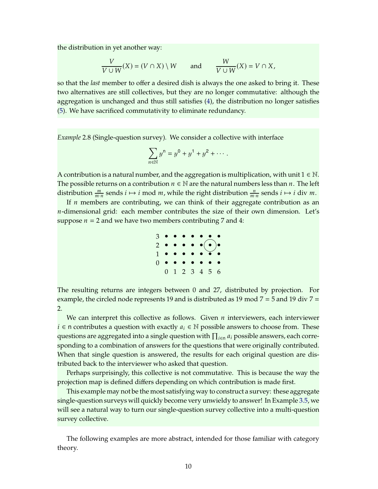the distribution in yet another way:

$$
\frac{V}{V \cup W}(X) = (V \cap X) \setminus W \quad \text{and} \quad \frac{W}{V \cup W}(X) = V \cap X,
$$

so that the *last* member to offer a desired dish is always the one asked to bring it. These two alternatives are still collectives, but they are no longer commutative: although the aggregation is unchanged and thus still satisfies [\(4\)](#page-1-1), the distribution no longer satisfies [\(5\)](#page-1-2). We have sacrificed commutativity to eliminate redundancy.

<span id="page-9-0"></span>*Example* 2.8 (Single-question survey)*.* We consider a collective with interface

$$
\sum_{n \in \mathbb{N}} y^n = y^0 + y^1 + y^2 + \cdots
$$

A contribution is a natural number, and the aggregation is multiplication, with unit  $1 \in \mathbb{N}$ . The possible returns on a contribution  $n \in \mathbb{N}$  are the natural numbers less than n. The left distribution  $\frac{m}{m \cdot n}$  sends  $i \mapsto i$  mod  $m$ , while the right distribution  $\frac{n}{m \cdot n}$  sends  $i \mapsto i$  div  $m$ .

If  $n$  members are contributing, we can think of their aggregate contribution as an *-dimensional grid: each member contributes the size of their own dimension. Let's* suppose  $n = 2$  and we have two members contributing 7 and 4:



The resulting returns are integers between 0 and 27, distributed by projection. For example, the circled node represents 19 and is distributed as 19 mod  $7 = 5$  and 19 div  $7 =$ 2.

We can interpret this collective as follows. Given  $n$  interviewers, each interviewer *i*  $\in$  n contributes a question with exactly  $a_i \in \mathbb{N}$  possible answers to choose from. These questions are aggregated into a single question with  $\prod_{i\in \textsf{n}} a_i$  possible answers, each corresponding to a combination of answers for the questions that were originally contributed. When that single question is answered, the results for each original question are distributed back to the interviewer who asked that question.

Perhaps surprisingly, this collective is not commutative. This is because the way the projection map is defined differs depending on which contribution is made first.

This example may not be the most satisfying way to construct a survey: these aggregate single-question surveys will quickly become very unwieldy to answer! In Example [3.5,](#page-18-0) we will see a natural way to turn our single-question survey collective into a multi-question survey collective.

The following examples are more abstract, intended for those familiar with category theory.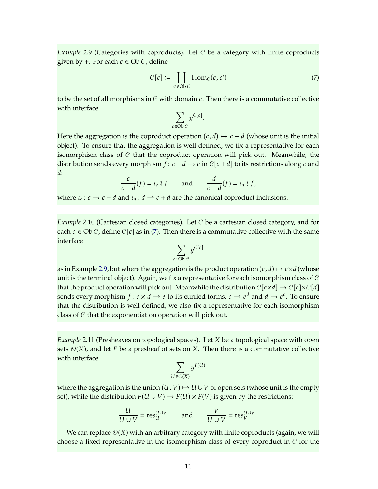<span id="page-10-0"></span>*Example* 2.9 (Categories with coproducts). Let C be a category with finite coproducts given by +. For each  $c \in Ob C$ , define

<span id="page-10-3"></span>
$$
C[c] \coloneqq \coprod_{c' \in \text{Ob } C} \text{Hom}_{C}(c, c') \tag{7}
$$

to be the set of all morphisms in  $C$  with domain  $c$ . Then there is a commutative collective with interface

$$
\sum_{c \in \text{Ob } C} y^{C[c]}.
$$

Here the aggregation is the coproduct operation  $(c, d) \mapsto c + d$  (whose unit is the initial object). To ensure that the aggregation is well-defined, we fix a representative for each isomorphism class of  $C$  that the coproduct operation will pick out. Meanwhile, the distribution sends every morphism  $f: c + d \rightarrow e$  in  $\mathcal{C}[c + d]$  to its restrictions along c and  $d:$ 

$$
\frac{c}{c+d}(f) = \iota_c \mathop{\raisebox{+.3ex}{\hskip -.1ex}}\nolimits_0^c f \qquad \text{and} \qquad \frac{d}{c+d}(f) = \iota_d \mathop{\raisebox{+.3ex}{\hskip -.1ex}}\nolimits_0^c f,
$$

where  $\iota_c: c \to c + d$  and  $\iota_d: d \to c + d$  are the canonical coproduct inclusions.

<span id="page-10-1"></span>*Example* 2.10 (Cartesian closed categories)*.* Let C be a cartesian closed category, and for each  $c \in Ob C$ , define  $C[c]$  as in [\(7\)](#page-10-3). Then there is a commutative collective with the same interface

$$
\sum_{c \in \text{Ob } C} y^{C[c]}
$$

as in Example [2.9,](#page-10-0) but where the aggregation is the product operation  $(c, d) \mapsto c \times d$  (whose unit is the terminal object). Again, we fix a representative for each isomorphism class of  $C$ that the product operation will pick out. Meanwhile the distribution  $C[c \times d] \rightarrow C[c] \times C[d]$ sends every morphism  $f: c \times d \to e$  to its curried forms,  $c \to e^d$  and  $d \to e^c$ . To ensure that the distribution is well-defined, we also fix a representative for each isomorphism class of C that the exponentiation operation will pick out.

<span id="page-10-2"></span>*Example* 2.11 (Presheaves on topological spaces). Let *X* be a topological space with open sets  $\mathcal{O}(X)$ , and let F be a presheaf of sets on X. Then there is a commutative collective with interface

$$
\sum_{U \in \Theta(X)} y^{F(U)}
$$

where the aggregation is the union  $(U, V) \mapsto U \cup V$  of open sets (whose unit is the empty set), while the distribution  $F(U \cup V) \rightarrow F(U) \times F(V)$  is given by the restrictions:

$$
\frac{U}{U \cup V} = \text{res}_{U}^{U \cup V} \quad \text{and} \quad \frac{V}{U \cup V} = \text{res}_{V}^{U \cup V}.
$$

We can replace  $\mathcal{O}(X)$  with an arbitrary category with finite coproducts (again, we will choose a fixed representative in the isomorphism class of every coproduct in  $C$  for the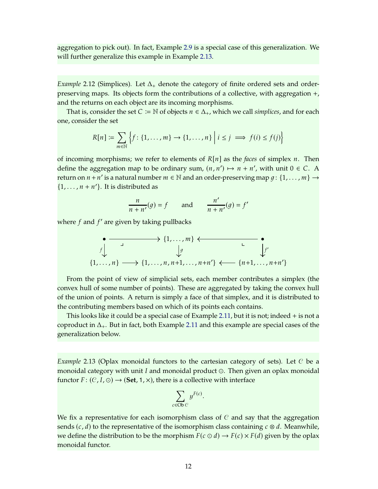aggregation to pick out). In fact, Example [2.9](#page-10-0) is a special case of this generalization. We will further generalize this example in Example [2.13.](#page-11-1)

<span id="page-11-0"></span>*Example* 2.12 (Simplices). Let  $\Delta_+$  denote the category of finite ordered sets and orderpreserving maps. Its objects form the contributions of a collective, with aggregation +, and the returns on each object are its incoming morphisms.

That is, consider the set  $C \coloneqq \mathbb{N}$  of objects  $n \in \Delta_+$ , which we call *simplices*, and for each one, consider the set

$$
R[n] \coloneqq \sum_{m \in \mathbb{N}} \left\{ f \colon \{1, \dots, m\} \to \{1, \dots, n\} \; \middle| \; i \leq j \implies f(i) \leq f(j) \right\}
$$

of incoming morphisms; we refer to elements of  $R[n]$  as the *faces* of simplex *n*. Then define the aggregation map to be ordinary sum,  $(n, n') \mapsto n + n'$ , with unit  $0 \in C$ . A return on  $n + n'$  is a natural number  $m \in \mathbb{N}$  and an order-preserving map  $g: \{1, ..., m\} \rightarrow$  $\{1, \ldots, n + n'\}$ . It is distributed as

$$
\frac{n}{n+n'}(g) = f \qquad \text{and} \qquad \frac{n'}{n+n'}(g) = f'
$$

where  $f$  and  $f'$  are given by taking pullbacks

$$
\begin{array}{ccc}\n\bullet & & \xrightarrow{\bullet} & \{1, \ldots, m\} \leftarrow & \bullet \\
\downarrow^{g} & & \downarrow^{f} \\
\{1, \ldots, n\} & \longrightarrow \{1, \ldots, n, n+1, \ldots, n+n'\} \leftarrow & \{n+1, \ldots, n+n'\}\n\end{array}
$$

From the point of view of simplicial sets, each member contributes a simplex (the convex hull of some number of points). These are aggregated by taking the convex hull of the union of points. A return is simply a face of that simplex, and it is distributed to the contributing members based on which of its points each contains.

This looks like it could be a special case of Example [2.11,](#page-10-2) but it is not; indeed + is not a coproduct in  $\Delta_{+}$ . But in fact, both Example [2.11](#page-10-2) and this example are special cases of the generalization below.

<span id="page-11-1"></span>*Example* 2.13 (Oplax monoidal functors to the cartesian category of sets). Let C be a monoidal category with unit  $I$  and monoidal product  $\odot$ . Then given an oplax monoidal functor  $F: (C, I, \odot) \rightarrow (\mathbf{Set}, 1, \times)$ , there is a collective with interface

$$
\sum_{c \in \text{Ob } C} y^{F(c)}.
$$

We fix a representative for each isomorphism class of  $C$  and say that the aggregation sends  $(c, d)$  to the representative of the isomorphism class containing  $c \otimes d$ . Meanwhile, we define the distribution to be the morphism  $F(c \odot d) \rightarrow F(c) \times F(d)$  given by the oplax monoidal functor.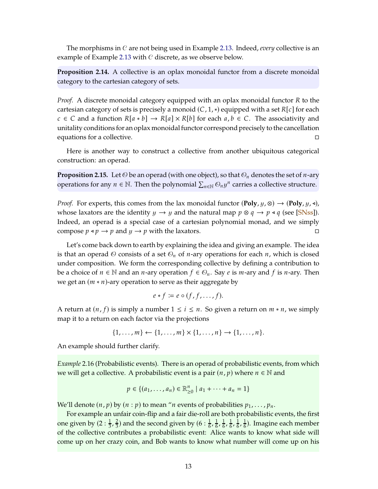<span id="page-12-2"></span>The morphisms in C are not being used in Example [2.13.](#page-11-1) Indeed, *every* collective is an example of Example [2.13](#page-11-1) with C discrete, as we observe below.

**Proposition 2.14.** A collective is an oplax monoidal functor from a discrete monoidal category to the cartesian category of sets.

*Proof.* A discrete monoidal category equipped with an oplax monoidal functor R to the cartesian category of sets is precisely a monoid  $(C, 1, *)$  equipped with a set  $R[c]$  for each  $c \in C$  and a function  $R[a * b] \to R[a] \times R[b]$  for each  $a, b \in C$ . The associativity and unitality conditions for an oplax monoidal functor correspond precisely to the cancellation equations for a collective.

Here is another way to construct a collective from another ubiquitous categorical construction: an operad.

<span id="page-12-0"></span>**Proposition 2.15.** Let  $\odot$  be an operad (with one object), so that  $\odot$ <sub>n</sub> denotes the set of *n*-ary operations for any  $n \in \mathbb{N}$ . Then the polynomial  $\sum_{n \in \mathbb{N}} \mathcal{O}_n y^n$  carries a collective structure.

*Proof.* For experts, this comes from the lax monoidal functor  $(\text{Poly}, y, \otimes) \rightarrow (\text{Poly}, y, \triangleleft)$ , whose laxators are the identity  $y \to y$  and the natural map  $p \otimes q \to p \triangleleft q$  (see [\[SNss](#page-19-0)]). Indeed, an operad is a special case of a cartesian polynomial monad, and we simply compose  $p \triangleleft p \rightarrow p$  and  $y \rightarrow p$  with the laxators.

Let's come back down to earth by explaining the idea and giving an example. The idea is that an operad  $\Theta$  consists of a set  $\Theta_n$  of *n*-ary operations for each *n*, which is closed under composition. We form the corresponding collective by defining a contribution to be a choice of  $n \in \mathbb{N}$  and an *n*-ary operation  $f \in \mathcal{O}_n$ . Say *e* is *m*-ary and *f* is *n*-ary. Then we get an  $(m * n)$ -ary operation to serve as their aggregate by

$$
e * f \coloneqq e \circ (f, f, \dots, f).
$$

A return at  $(n, f)$  is simply a number  $1 \le i \le n$ . So given a return on  $m * n$ , we simply map it to a return on each factor via the projections

$$
\{1,\ldots,m\} \leftarrow \{1,\ldots,m\} \times \{1,\ldots,n\} \to \{1,\ldots,n\}.
$$

An example should further clarify.

<span id="page-12-1"></span>*Example* 2.16 (Probabilistic events)*.* There is an operad of probabilistic events, from which we will get a collective. A probabilistic event is a pair  $(n, p)$  where  $n \in \mathbb{N}$  and

$$
p \in \{(a_1, \ldots, a_n) \in \mathbb{R}_{\geq 0}^n \mid a_1 + \cdots + a_n = 1\}
$$

We'll denote  $(n, p)$  by  $(n : p)$  to mean "*n* events of probabilities  $p_1, \ldots, p_n$ .

For example an unfair coin-flip and a fair die-roll are both probabilistic events, the first one given by  $(2:\frac{1}{3},\frac{2}{3})$  $\frac{2}{3}$ ) and the second given by (6 :  $\frac{1}{6}$ ,  $\frac{1}{6}$  $\frac{1}{6}$ ,  $\frac{1}{6}$  $\frac{1}{6}$ ,  $\frac{1}{6}$  $\frac{1}{6}$ ,  $\frac{1}{6}$  $\frac{1}{6}$ ,  $\frac{1}{6}$  $\frac{1}{6}$ ). Imagine each member of the collective contributes a probabilistic event: Alice wants to know what side will come up on her crazy coin, and Bob wants to know what number will come up on his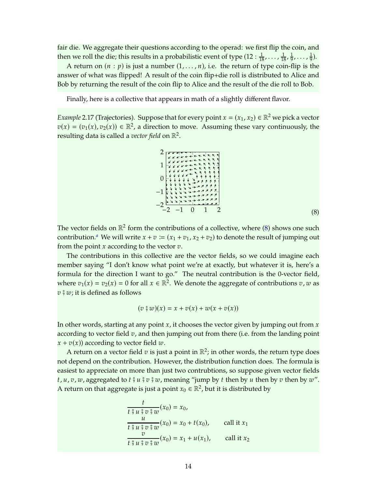fair die. We aggregate their questions according to the operad: we first flip the coin, and then we roll the die; this results in a probabilistic event of type  $(12: \frac{1}{18}, \ldots, \frac{1}{18}, \frac{1}{9})$  $\frac{1}{9}$ , ...,  $\frac{1}{9}$  $\frac{1}{9}$ ).

A return on  $(n : p)$  is just a number  $(1, \ldots, n)$ , i.e. the return of type coin-flip is the answer of what was flipped! A result of the coin flip+die roll is distributed to Alice and Bob by returning the result of the coin flip to Alice and the result of the die roll to Bob.

Finally, here is a collective that appears in math of a slightly different flavor.

<span id="page-13-0"></span>*Example* 2.17 (Trajectories). Suppose that for every point  $x = (x_1, x_2) \in \mathbb{R}^2$  we pick a vector  $v(x) = (v_1(x), v_2(x)) \in \mathbb{R}^2$ , a direction to move. Assuming these vary continuously, the resulting data is called a *vector field* on  $\mathbb{R}^2$ .

<span id="page-13-1"></span>

(8)

The vector fields on  $\mathbb{R}^2$  form the contributions of a collective, where [\(8\)](#page-13-1) shows one such contribution.<sup>*[a](#page-14-2)*</sup> We will write  $x + v := (x_1 + v_1, x_2 + v_2)$  to denote the result of jumping out from the point  $x$  according to the vector  $v$ .

The contributions in this collective are the vector fields, so we could imagine each member saying "I don't know what point we're at exactly, but whatever it is, here's a formula for the direction I want to go." The neutral contribution is the 0-vector field, where  $v_1(x) = v_2(x) = 0$  for all  $x \in \mathbb{R}^2$ . We denote the aggregate of contributions  $v, w$  as  $v \frac{3}{7} w$ ; it is defined as follows

$$
(\upsilon \mathbin{\hat{y}} w)(x) = x + \upsilon(x) + \upsilon(x + \upsilon(x))
$$

In other words, starting at any point  $x$ , it chooses the vector given by jumping out from  $x$ according to vector field  $v$ , and then jumping out from there (i.e. from the landing point  $x + v(x)$ ) according to vector field w.

A return on a vector field  $v$  is just a point in  $\mathbb{R}^2$ ; in other words, the return type does not depend on the contribution. However, the distribution function does. The formula is easiest to appreciate on more than just two contrubtions, so suppose given vector fields  $t, u, v, w$ , aggregated to  $t \frac{2}{3} u \frac{2}{3} v \frac{2}{3} w$ , meaning "jump by  $t$  then by  $u$  then by  $v$  then by  $w$ ". A return on that aggregate is just a point  $x_0 \in \mathbb{R}^2$ , but it is distributed by

$$
\frac{t}{t \, \hat{y} \, u \, \hat{y} \, v \, \hat{y} \, w} (x_0) = x_0,
$$
\n
$$
\frac{u}{t \, \hat{y} \, u \, \hat{y} \, v \, \hat{y} \, w} (x_0) = x_0 + t(x_0), \qquad \text{call it } x_1
$$
\n
$$
\frac{v}{t \, \hat{y} \, u \, \hat{y} \, v \, \hat{y} \, w} (x_0) = x_1 + u(x_1), \qquad \text{call it } x_2
$$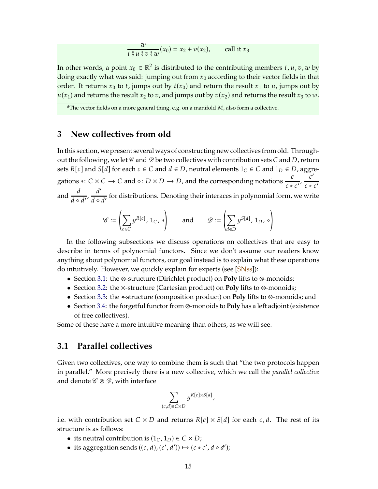$$
\frac{w}{t \hat{y} u \hat{y} v \hat{y} w}(x_0) = x_2 + v(x_2), \quad \text{call it } x_3
$$

<span id="page-14-3"></span>In other words, a point  $x_0 \in \mathbb{R}^2$  is distributed to the contributing members  $t$ ,  $u$ ,  $v$ ,  $w$  by doing exactly what was said: jumping out from  $x_0$  according to their vector fields in that order. It returns  $x_0$  to t, jumps out by  $t(x_0)$  and return the result  $x_1$  to  $u$ , jumps out by  $u(x_1)$  and returns the result  $x_2$  to  $v$ , and jumps out by  $v(x_2)$  and returns the result  $x_3$  to  $w$ .

<span id="page-14-2"></span><span id="page-14-0"></span><sup>a</sup>The vector fields on a more general thing, e.g. on a manifold M, also form a collective.

## **3 New collectives from old**

In this section, we present several ways of constructing new collectives from old. Throughout the following, we let  $\mathscr C$  and  $\mathscr D$  be two collectives with contribution sets C and D, return sets  $R[c]$  and  $S[d]$  for each  $c \in C$  and  $d \in D$ , neutral elements  $1_C \in C$  and  $1_D \in D$ , aggregations ∗:  $C \times C \rightarrow C$  and  $\diamond: D \times D \rightarrow D$ , and the corresponding notations  $\frac{c}{c * c'}$ ,  $\frac{c'}{c * c'}$  $c * c'$ and  $\frac{d}{d \cdot d'}$ ,  $\frac{d'}{d \cdot d}$  $\frac{a}{d}$  od  $\frac{a}{d'}$  for distributions. Denoting their interaces in polynomial form, we write

$$
\mathscr{C} := \left(\sum_{c \in C} y^{R[c]}, 1_C, *\right) \quad \text{and} \quad \mathscr{D} := \left(\sum_{d \in D} y^{S[d]}, 1_D, \diamond\right)
$$

In the following subsections we discuss operations on collectives that are easy to describe in terms of polynomial functors. Since we don't assume our readers know anything about polynomial functors, our goal instead is to explain what these operations do intuitively. However, we quickly explain for experts (see [\[SNss\]](#page-19-0)):

- Section [3.1:](#page-14-1) the ⊗-structure (Dirichlet product) on **Poly** lifts to ⊗-monoids;
- Section [3.2:](#page-15-0) the ×-structure (Cartesian product) on **Poly** lifts to ⊗-monoids;
- Section [3.3:](#page-16-0) the ⊳-structure (composition product) on **Poly** lifts to ⊗-monoids; and
- Section [3.4:](#page-17-0) the forgetful functor from ⊗-monoids to **Poly** has a left adjoint (existence of free collectives).

<span id="page-14-1"></span>Some of these have a more intuitive meaning than others, as we will see.

### **3.1 Parallel collectives**

Given two collectives, one way to combine them is such that "the two protocols happen in parallel." More precisely there is a new collective, which we call the *parallel collective* and denote  $\mathscr{C} \otimes \mathscr{D}$ , with interface

$$
\sum_{(c,d)\in C\times D} y^{R[c]\times S[d]},
$$

i.e. with contribution set  $C \times D$  and returns  $R[c] \times S[d]$  for each c, d. The rest of its structure is as follows:

- its neutral contribution is  $(1_C, 1_D) \in C \times D$ ;
- its aggregation sends  $((c, d), (c', d')) \mapsto (c * c', d \cdot d')$ ;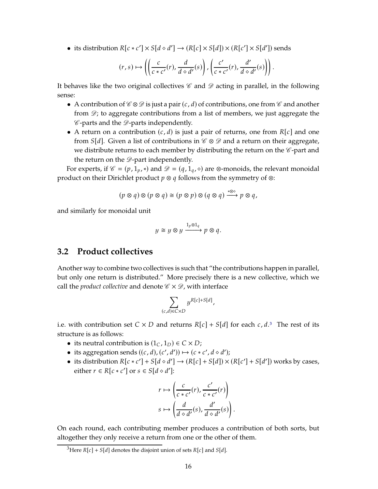• its distribution  $R[c*c'] \times S[d \cdot d'] \rightarrow (R[c] \times S[d]) \times (R[c'] \times S[d'])$  sends

$$
(r,s) \mapsto \left( \left( \frac{c}{c * c'}(r), \frac{d}{d \diamond d'}(s) \right), \left( \frac{c'}{c * c'}(r), \frac{d'}{d \diamond d'}(s) \right) \right).
$$

It behaves like the two original collectives  $\mathscr C$  and  $\mathscr D$  acting in parallel, in the following sense:

- A contribution of  $\mathscr{C} \otimes \mathscr{D}$  is just a pair  $(c, d)$  of contributions, one from  $\mathscr{C}$  and another from  $\mathcal{D}$ ; to aggregate contributions from a list of members, we just aggregate the  $\mathscr C$ -parts and the  $\mathscr D$ -parts independently.
- A return on a contribution  $(c, d)$  is just a pair of returns, one from  $R[c]$  and one from  $S[d]$ . Given a list of contributions in  $\mathscr{C} \otimes \mathscr{D}$  and a return on their aggregate, we distribute returns to each member by distributing the return on the  $\mathscr{C}\text{-part}$  and the return on the  $\mathscr{D}$ -part independently.

For experts, if  $\mathcal{C} = (p, 1_p, *)$  and  $\mathcal{D} = (q, 1_q, \diamond)$  are ⊗-monoids, the relevant monoidal product on their Dirichlet product  $p \otimes q$  follows from the symmetry of  $\otimes$ :

$$
(p \otimes q) \otimes (p \otimes q) \cong (p \otimes p) \otimes (q \otimes q) \xrightarrow{\ast \otimes \diamond} p \otimes q,
$$

and similarly for monoidal unit

$$
y \cong y \otimes y \xrightarrow{1_p \otimes 1_q} p \otimes q.
$$

## <span id="page-15-0"></span>**3.2 Product collectives**

Another way to combine two collectives is such that "the contributions happen in parallel, but only one return is distributed." More precisely there is a new collective, which we call the *product collective* and denote  $\mathscr{C} \times \mathscr{D}$ , with interface

$$
\sum_{(c,d)\in C\times D} y^{R[c]+S[d]},
$$

i.e. with contribution set  $C \times D$  and returns  $R[c] + S[d]$  for each  $c, d$ .<sup>[3](#page-15-1)</sup> The rest of its structure is as follows:

- its neutral contribution is  $(1_C, 1_D) \in C \times D$ ;
- its aggregation sends  $((c, d), (c', d')) \mapsto (c * c', d \cdot d')$ ;
- its distribution  $R[c*c'] + S[d\diamond d'] \rightarrow (R[c] + S[d]) \times (R[c'] + S[d'])$  works by cases, either  $r \in R[c*c']$  or  $s \in S[d \diamond d']$ :

$$
r \mapsto \left(\frac{c}{c * c'}(r), \frac{c'}{c * c'}(r)\right)
$$

$$
s \mapsto \left(\frac{d}{d \circ d'}(s), \frac{d'}{d \circ d'}(s)\right).
$$

On each round, each contributing member produces a contribution of both sorts, but altogether they only receive a return from one or the other of them.

<span id="page-15-1"></span><sup>&</sup>lt;sup>3</sup>Here  $R[c] + S[d]$  denotes the disjoint union of sets  $R[c]$  and  $S[d]$ .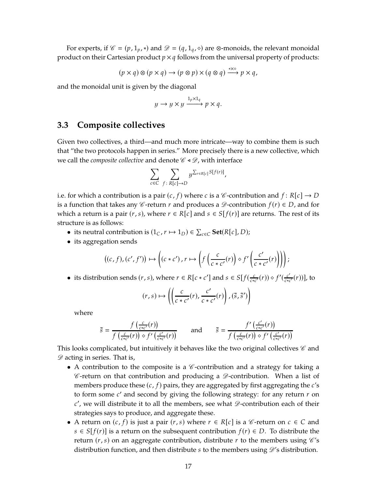For experts, if  $\mathcal{C} = (p, 1_p, *)$  and  $\mathcal{D} = (q, 1_q, \diamond)$  are ⊗-monoids, the relevant monoidal product on their Cartesian product  $p \times q$  follows from the universal property of products:

$$
(p \times q) \otimes (p \times q) \to (p \otimes p) \times (q \otimes q) \xrightarrow{\ast \times \diamond} p \times q,
$$

and the monoidal unit is given by the diagonal

$$
y \to y \times y \xrightarrow{1_p \times 1_q} p \times q.
$$

#### <span id="page-16-0"></span>**3.3 Composite collectives**

Given two collectives, a third—and much more intricate—way to combine them is such that "the two protocols happen in series." More precisely there is a new collective, which we call the *composite collective* and denote  $\mathcal{C}$  <  $\mathcal{D}$ , with interface

$$
\sum_{c \in C} \sum_{f \colon R[c] \to D} y^{\sum_{r \in R[c]} S[f(r)]},
$$

i.e. for which a contribution is a pair  $(c, f)$  where  $c$  is a  $\mathscr C$ -contribution and  $f: R[c] \to D$ is a function that takes any *C*-return *r* and produces a  $\mathscr{D}$ -contribution  $f(r) \in D$ , and for which a return is a pair  $(r, s)$ , where  $r \in R[c]$  and  $s \in S[f(r)]$  are returns. The rest of its structure is as follows:

- its neutral contribution is  $(1_C, r \mapsto 1_D) \in \sum_{c \in C} \textbf{Set}(R[c], D);$
- its aggregation sends

$$
((c, f), (c', f')) \mapsto \left( (c * c'), r \mapsto \left( f\left(\frac{c}{c * c'}(r)\right) \diamond f'\left(\frac{c'}{c * c'}(r)\right) \right) \right);
$$

• its distribution sends  $(r, s)$ , where  $r \in R[c * c']$  and  $s \in S[f(\frac{c}{c * c'}(r)) \diamond f'(\frac{c'}{c * c})]$  $\frac{c'}{c*c'}(r)]$ , to

$$
(r,s) \mapsto \left( \left( \frac{c}{c * c'}(r), \frac{c'}{c * c'}(r) \right), (\tilde{s}, \tilde{s}') \right)
$$

where

$$
\tilde{s} = \frac{f\left(\frac{c}{c*c'}(r)\right)}{f\left(\frac{c}{c*c'}(r)\right) \diamond f'\left(\frac{c'}{c*c'}(r)\right)} \quad \text{and} \quad \tilde{s} = \frac{f'\left(\frac{c'}{c*c'}(r)\right)}{f\left(\frac{c}{c*c'}(r)\right) \diamond f'\left(\frac{c'}{c*c'}(r)\right)}
$$

This looks complicated, but intuitively it behaves like the two original collectives  $\mathscr C$  and  $\mathscr{D}$  acting in series. That is,

- A contribution to the composite is a  $\mathscr{C}$ -contribution and a strategy for taking a  $\mathscr C$ -return on that contribution and producing a  $\mathscr D$ -contribution. When a list of members produce these  $(c, f)$  pairs, they are aggregated by first aggregating the  $c's$ to form some  $c'$  and second by giving the following strategy: for any return  $r$  on  $c'$ , we will distribute it to all the members, see what  $\mathscr{D}$ -contribution each of their strategies says to produce, and aggregate these.
- A return on  $(c, f)$  is just a pair  $(r, s)$  where  $r \in R[c]$  is a  $\mathscr{C}$ -return on  $c \in C$  and  $s \in S[f(r)]$  is a return on the subsequent contribution  $f(r) \in D$ . To distribute the return  $(r, s)$  on an aggregate contribution, distribute  $r$  to the members using  $\mathcal{C}'s$ distribution function, and then distribute  $s$  to the members using  $\mathscr{D}'s$  distribution.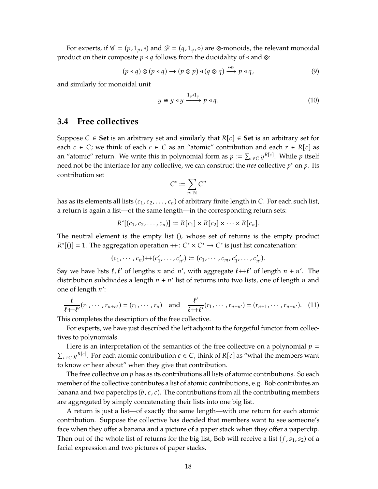For experts, if  $\mathcal{C} = (p, 1_p, *)$  and  $\mathcal{D} = (q, 1_q, \diamond)$  are ⊗-monoids, the relevant monoidal product on their composite  $p \triangleleft q$  follows from the duoidality of  $\triangleleft$  and  $\otimes$ :

<span id="page-17-2"></span>
$$
(p \triangleleft q) \otimes (p \triangleleft q) \rightarrow (p \otimes p) \triangleleft (q \otimes q) \xrightarrow{\ast \triangleleft \circ} p \triangleleft q, \tag{9}
$$

and similarly for monoidal unit

<span id="page-17-3"></span>
$$
y \cong y \triangleleft y \xrightarrow{1_p \triangleleft 1_q} p \triangleleft q. \tag{10}
$$

#### <span id="page-17-0"></span>**3.4 Free collectives**

Suppose  $C \in$  Set is an arbitrary set and similarly that  $R[c] \in$  Set is an arbitrary set for each  $c \in C$ ; we think of each  $c \in C$  as an "atomic" contribution and each  $r \in R[c]$  as an "atomic" return. We write this in polynomial form as  $p := \sum_{c \in C} y^{R[c]}$ . While  $p$  itself need not be the interface for any collective, we can construct the *free* collective  $p^*$  on  $p$ . Its contribution set

$$
C^* := \sum_{n \in \mathbb{N}} C^n
$$

has as its elements all lists  $(c_1, c_2, \ldots, c_n)$  of arbitrary finite length in C. For each such list, a return is again a list—of the same length—in the corresponding return sets:

$$
R^*[(c_1, c_2, \ldots, c_n)] := R[c_1] \times R[c_2] \times \cdots \times R[c_n].
$$

The neutral element is the empty list (), whose set of returns is the empty product  $R^*[(0)] = 1$ . The aggregation operation  $++: C^* \times C^* \rightarrow C^*$  is just list concatenation:

$$
(c_1, \cdots, c_n) + (c'_1, \cdots, c'_{n'}) \coloneqq (c_1, \cdots, c_m, c'_1, \cdots, c'_{n'}).
$$

Say we have lists  $\ell$ ,  $\ell'$  of lengths  $n$  and  $n'$ , with aggregate  $\ell + \ell'$  of length  $n + n'$ . The distribution subdivides a length  $n + n'$  list of returns into two lists, one of length  $n$  and one of length  $n'$ :

<span id="page-17-1"></span>
$$
\frac{\ell}{\ell + \ell'}(r_1, \cdots, r_{n+n'}) = (r_1, \cdots, r_n) \text{ and } \frac{\ell'}{\ell + \ell'}(r_1, \cdots, r_{n+n'}) = (r_{n+1}, \cdots, r_{n+n'}). \quad (11)
$$

This completes the description of the free collective.

For experts, we have just described the left adjoint to the forgetful functor from collectives to polynomials.

Here is an interpretation of the semantics of the free collective on a polynomial  $p =$  $\sum_{c \in C} y^{R[c]}$ . For each atomic contribution  $c \in C$ , think of  $R[c]$  as "what the members want to know or hear about" when they give that contribution.

The free collective on  $p$  has as its contributions all lists of atomic contributions. So each member of the collective contributes a list of atomic contributions, e.g. Bob contributes an banana and two paperclips  $(b, c, c)$ . The contributions from all the contributing members are aggregated by simply concatenating their lists into one big list.

A return is just a list—of exactly the same length—with one return for each atomic contribution. Suppose the collective has decided that members want to see someone's face when they offer a banana and a picture of a paper stack when they offer a paperclip. Then out of the whole list of returns for the big list, Bob will receive a list  $(f, s_1, s_2)$  of a facial expression and two pictures of paper stacks.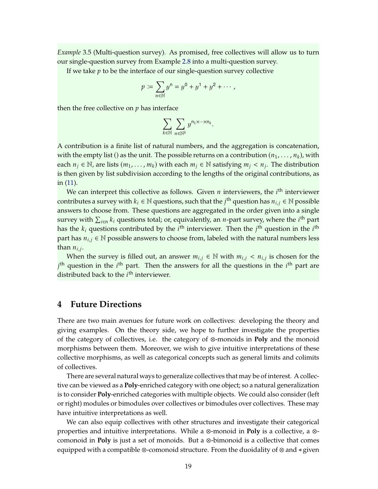<span id="page-18-0"></span>*Example* 3.5 (Multi-question survey)*.* As promised, free collectives will allow us to turn our single-question survey from Example [2.8](#page-9-0) into a multi-question survey.

If we take  $p$  to be the interface of our single-question survey collective

$$
p := \sum_{n \in \mathbb{N}} y^n = y^0 + y^1 + y^2 + \cdots,
$$

then the free collective on  $p$  has interface

$$
\sum_{k\in\mathbb{N}}\sum_{n\in\mathbb{N}^k}y^{n_1\times\cdots\times n_k}.
$$

A contribution is a finite list of natural numbers, and the aggregation is concatenation, with the empty list () as the unit. The possible returns on a contribution  $(n_1, \ldots, n_k)$ , with each  $n_j \in \mathbb{N}$ , are lists  $(m_1, \ldots, m_k)$  with each  $m_j \in \mathbb{N}$  satisfying  $m_j < n_j$ . The distribution is then given by list subdivision according to the lengths of the original contributions, as in [\(11\)](#page-17-1).

We can interpret this collective as follows. Given  $n$  interviewers, the  $i<sup>th</sup>$  interviewer contributes a survey with  $k_i \in \mathbb{N}$  questions, such that the  $j^{\text{th}}$  question has  $n_{i,j} \in \mathbb{N}$  possible answers to choose from. These questions are aggregated in the order given into a single survey with  $\sum_{i\in{\mathsf n}}k_i$  questions total; or, equivalently, an *n*-part survey, where the  $i^{\text{th}}$  part has the  $k_i$  questions contributed by the  $i^{\rm th}$  interviewer. Then the  $j^{\rm th}$  question in the  $i^{\rm th}$ part has  $n_{i,j} \in \mathbb{N}$  possible answers to choose from, labeled with the natural numbers less than  $n_{i,j}$ .

When the survey is filled out, an answer  $m_{i,j} \in \mathbb{N}$  with  $m_{i,j} < n_{i,j}$  is chosen for the  $j^{\text{th}}$  question in the  $i^{\text{th}}$  part. Then the answers for all the questions in the  $i^{\text{th}}$  part are distributed back to the  $i<sup>th</sup>$  interviewer.

#### **4 Future Directions**

There are two main avenues for future work on collectives: developing the theory and giving examples. On the theory side, we hope to further investigate the properties of the category of collectives, i.e. the category of ⊗-monoids in **Poly** and the monoid morphisms between them. Moreover, we wish to give intuitive interpretations of these collective morphisms, as well as categorical concepts such as general limits and colimits of collectives.

There are several natural ways to generalize collectives that may be of interest. A collective can be viewed as a **Poly**-enriched category with one object; so a natural generalization is to consider **Poly**-enriched categories with multiple objects. We could also consider (left or right) modules or bimodules over collectives or bimodules over collectives. These may have intuitive interpretations as well.

We can also equip collectives with other structures and investigate their categorical properties and intuitive interpretations. While a ⊗-monoid in **Poly** is a collective, a ⊗ comonoid in **Poly** is just a set of monoids. But a ⊗-bimonoid is a collective that comes equipped with a compatible ⊗-comonoid structure. From the duoidality of ⊗ and ⊳ given